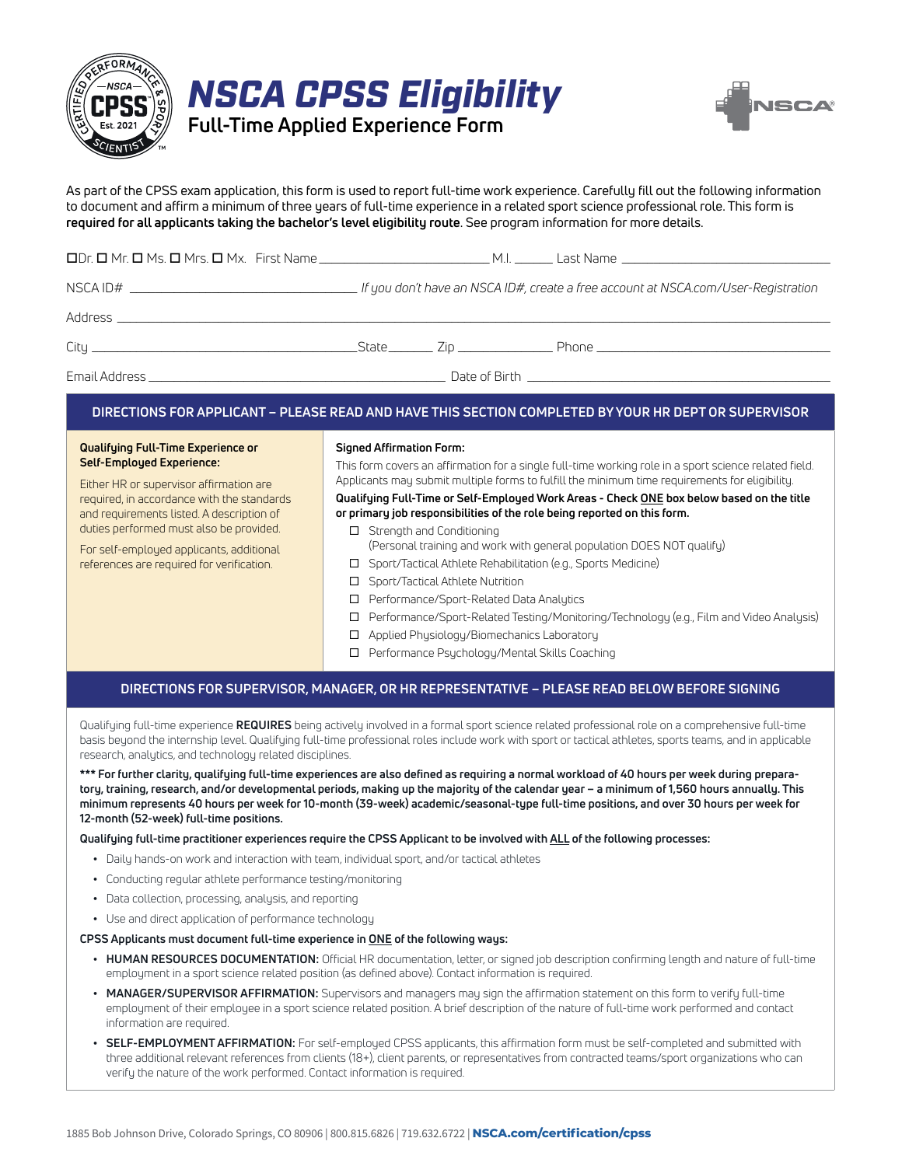

|                                          | <b>NSCA CPSS Eligibility</b> |  |  |  |  |  |
|------------------------------------------|------------------------------|--|--|--|--|--|
| <b>Full-Time Applied Experience Form</b> |                              |  |  |  |  |  |



As part of the CPSS exam application, this form is used to report full-time work experience. Carefully fill out the following information to document and affirm a minimum of three years of full-time experience in a related sport science professional role. This form is **required for all applicants taking the bachelor's level eligibility route**. See program information for more details.

|  |  | . If you don't have an NSCA ID#, create a free account at NSCA.com/User-Registration |
|--|--|--------------------------------------------------------------------------------------|
|  |  |                                                                                      |
|  |  |                                                                                      |
|  |  |                                                                                      |

### **DIRECTIONS FOR APPLICANT – PLEASE READ AND HAVE THIS SECTION COMPLETED BY YOUR HR DEPT OR SUPERVISOR**

#### **Qualifying Full-Time Experience or Self-Employed Experience:**

Either HR or supervisor affirmation are required, in accordance with the standards and requirements listed. A description of duties performed must also be provided.

For self-employed applicants, additional references are required for verification.

#### **Signed Affirmation Form:**

This form covers an affirmation for a single full-time working role in a sport science related field. Applicants may submit multiple forms to fulfill the minimum time requirements for eligibility.

### **Qualifying Full-Time or Self-Employed Work Areas - Check ONE box below based on the title or primary job responsibilities of the role being reported on this form.**

- □ Strength and Conditioning (Personal training and work with general population DOES NOT qualify)
- □ Sport/Tactical Athlete Rehabilitation (e.g., Sports Medicine)
- □ Sport/Tactical Athlete Nutrition
- Performance/Sport-Related Data Analytics
- Performance/Sport-Related Testing/Monitoring/Technology (e.g., Film and Video Analysis)
- □ Applied Physiology/Biomechanics Laboratory
- □ Performance Psychology/Mental Skills Coaching

## **DIRECTIONS FOR SUPERVISOR, MANAGER, OR HR REPRESENTATIVE – PLEASE READ BELOW BEFORE SIGNING**

Qualifying full-time experience **REQUIRES** being actively involved in a formal sport science related professional role on a comprehensive full-time basis beyond the internship level. Qualifying full-time professional roles include work with sport or tactical athletes, sports teams, and in applicable research, analytics, and technology related disciplines.

**\*\*\* For further clarity, qualifying full-time experiences are also defined as requiring a normal workload of 40 hours per week during preparatory, training, research, and/or developmental periods, making up the majority of the calendar year – a minimum of 1,560 hours annually. This minimum represents 40 hours per week for 10-month (39-week) academic/seasonal-type full-time positions, and over 30 hours per week for 12-month (52-week) full-time positions.** 

### **Qualifying full-time practitioner experiences require the CPSS Applicant to be involved with ALL of the following processes:**

- **•** Daily hands-on work and interaction with team, individual sport, and/or tactical athletes
- **•** Conducting regular athlete performance testing/monitoring
- **•** Data collection, processing, analysis, and reporting
- **•** Use and direct application of performance technology

### **CPSS Applicants must document full-time experience in ONE of the following ways:**

- **• HUMAN RESOURCES DOCUMENTATION:** Official HR documentation, letter, or signed job description confirming length and nature of full-time employment in a sport science related position (as defined above). Contact information is required.
- **• MANAGER/SUPERVISOR AFFIRMATION:** Supervisors and managers may sign the affirmation statement on this form to verify full-time employment of their employee in a sport science related position. A brief description of the nature of full-time work performed and contact information are required.
- **• SELF-EMPLOYMENT AFFIRMATION:** For self-employed CPSS applicants, this affirmation form must be self-completed and submitted with three additional relevant references from clients (18+), client parents, or representatives from contracted teams/sport organizations who can verify the nature of the work performed. Contact information is required.